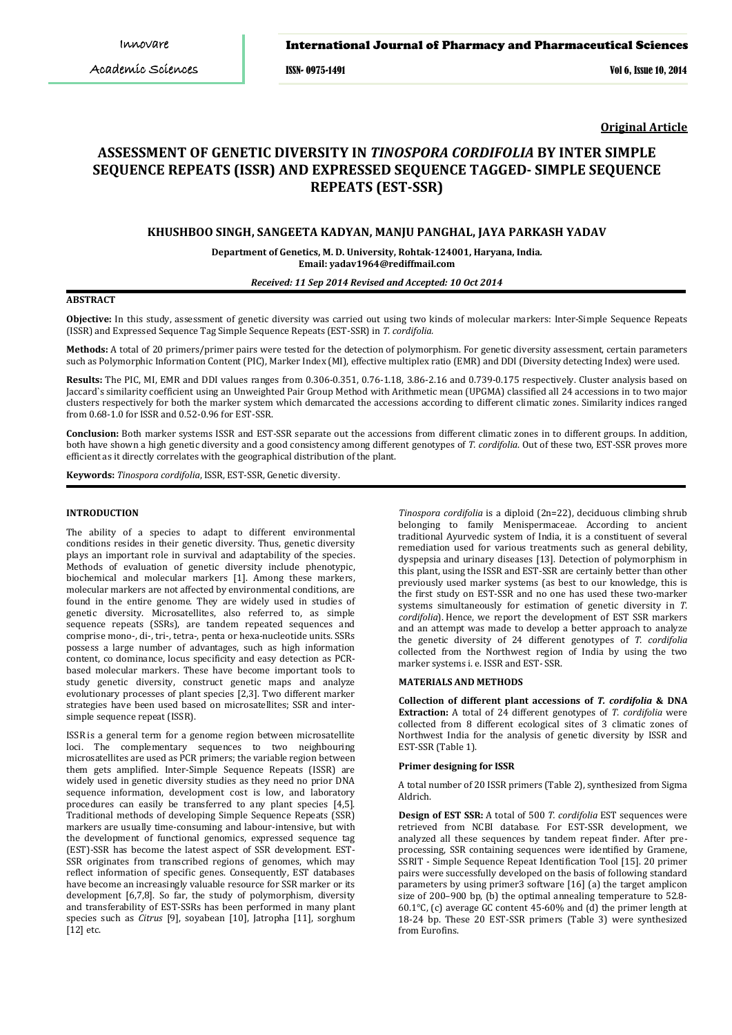ISSN- 0975-1491 Vol 6, Issue 10, 2014

**Original Article**

# **ASSESSMENT OF GENETIC DIVERSITY IN** *TINOSPORA CORDIFOLIA* **BY INTER SIMPLE SEQUENCE REPEATS (ISSR) AND EXPRESSED SEQUENCE TAGGED- SIMPLE SEQUENCE REPEATS (EST-SSR)**

# **KHUSHBOO SINGH, SANGEETA KADYAN, MANJU PANGHAL, JAYA PARKASH YADAV**

**Department of Genetics, M. D. University, Rohtak-124001, Haryana, India***.* **Email: yadav1964@rediffmail.com**

*Received: 11 Sep 2014 Revised and Accepted: 10 Oct 2014*

# **ABSTRACT**

**Objective:** In this study, assessment of genetic diversity was carried out using two kinds of molecular markers: Inter-Simple Sequence Repeats (ISSR) and Expressed Sequence Tag Simple Sequence Repeats (EST-SSR) in *T. cordifolia.*

**Methods:** A total of 20 primers/primer pairs were tested for the detection of polymorphism. For genetic diversity assessment, certain parameters such as Polymorphic Information Content (PIC), Marker Index (MI), effective multiplex ratio (EMR) and DDI (Diversity detecting Index) were used.

**Results:** The PIC, MI, EMR and DDI values ranges from 0.306-0.351, 0.76-1.18, 3.86-2.16 and 0.739-0.175 respectively. Cluster analysis based on Jaccard`s similarity coefficient using an Unweighted Pair Group Method with Arithmetic mean (UPGMA) classified all 24 accessions in to two major clusters respectively for both the marker system which demarcated the accessions according to different climatic zones. Similarity indices ranged from 0.68-1.0 for ISSR and 0.52-0.96 for EST-SSR.

**Conclusion:** Both marker systems ISSR and EST-SSR separate out the accessions from different climatic zones in to different groups. In addition, both have shown a high genetic diversity and a good consistency among different genotypes of *T. cordifolia*. Out of these two, EST-SSR proves more efficient as it directly correlates with the geographical distribution of the plant.

**Keywords:** *Tinospora cordifolia*, ISSR, EST-SSR, Genetic diversity.

### **INTRODUCTION**

The ability of a species to adapt to different environmental conditions resides in their genetic diversity. Thus, genetic diversity plays an important role in survival and adaptability of the species. Methods of evaluation of genetic diversity include phenotypic, biochemical and molecular markers [1]. Among these markers, molecular markers are not affected by environmental conditions, are found in the entire genome. They are widely used in studies of genetic diversity. Microsatellites, also referred to, as simple sequence repeats (SSRs), are tandem repeated sequences and comprise mono-, di-, tri-, tetra-, penta or hexa-nucleotide units. SSRs possess a large number of advantages, such as high information content, co dominance, locus specificity and easy detection as PCRbased molecular markers. These have become important tools to study genetic diversity, construct genetic maps and analyze evolutionary processes of plant species [2,3]. Two different marker strategies have been used based on microsatellites; SSR and intersimple sequence repeat (ISSR).

ISSR is a general term for a genome region between microsatellite loci. The complementary sequences to two neighbouring microsatellites are used as PCR primers; the variable region between them gets amplified. Inter-Simple Sequence Repeats (ISSR) are widely used in genetic diversity studies as they need no prior DNA sequence information, development cost is low, and laboratory procedures can easily be transferred to any plant species [4,5]. Traditional methods of developing Simple Sequence Repeats (SSR) markers are usually time-consuming and labour-intensive, but with the development of functional genomics, expressed sequence tag (EST)-SSR has become the latest aspect of SSR development. EST-SSR originates from transcribed regions of genomes, which may reflect information of specific genes. Consequently, EST databases have become an increasingly valuable resource for SSR marker or its development [6,7,8]. So far, the study of polymorphism, diversity and transferability of EST-SSRs has been performed in many plant species such as *Citrus* [9], soyabean [10], Jatropha [11], sorghum [12] etc.

*Tinospora cordifolia* is a diploid (2n=22), deciduous climbing shrub belonging to family Menispermaceae. According to ancient traditional Ayurvedic system of India, it is a constituent of several remediation used for various treatments such as general debility, dyspepsia and urinary diseases [13]. Detection of polymorphism in this plant, using the ISSR and EST-SSR are certainly better than other previously used marker systems (as best to our knowledge, this is the first study on EST-SSR and no one has used these two-marker systems simultaneously for estimation of genetic diversity in *T. cordifolia*). Hence, we report the development of EST SSR markers and an attempt was made to develop a better approach to analyze the genetic diversity of 24 different genotypes of *T. cordifolia* collected from the Northwest region of India by using the two marker systems i. e. ISSR and EST- SSR.

### **MATERIALS AND METHODS**

**Collection of different plant accessions of** *T. cordifolia* **& DNA Extraction:** A total of 24 different genotypes of *T. cordifolia* were collected from 8 different ecological sites of 3 climatic zones of Northwest India for the analysis of genetic diversity by ISSR and EST-SSR (Table 1).

### **Primer designing for ISSR**

A total number of 20 ISSR primers (Table 2), synthesized from Sigma Aldrich.

**Design of EST SSR:** A total of 500 *T. cordifolia* EST sequences were retrieved from NCBI database. For EST-SSR development, we analyzed all these sequences by tandem repeat finder. After preprocessing, SSR containing sequences were identified by Gramene, SSRIT - Simple Sequence Repeat Identification Tool [15]. 20 primer pairs were successfully developed on the basis of following standard parameters by using primer3 software [16] (a) the target amplicon size of 200–900 bp, (b) the optimal annealing temperature to 52.8- 60.1 $^{\circ}$ C, (c) average GC content 45-60% and (d) the primer length at 18-24 bp. These 20 EST-SSR primers (Table 3) were synthesized from Eurofins.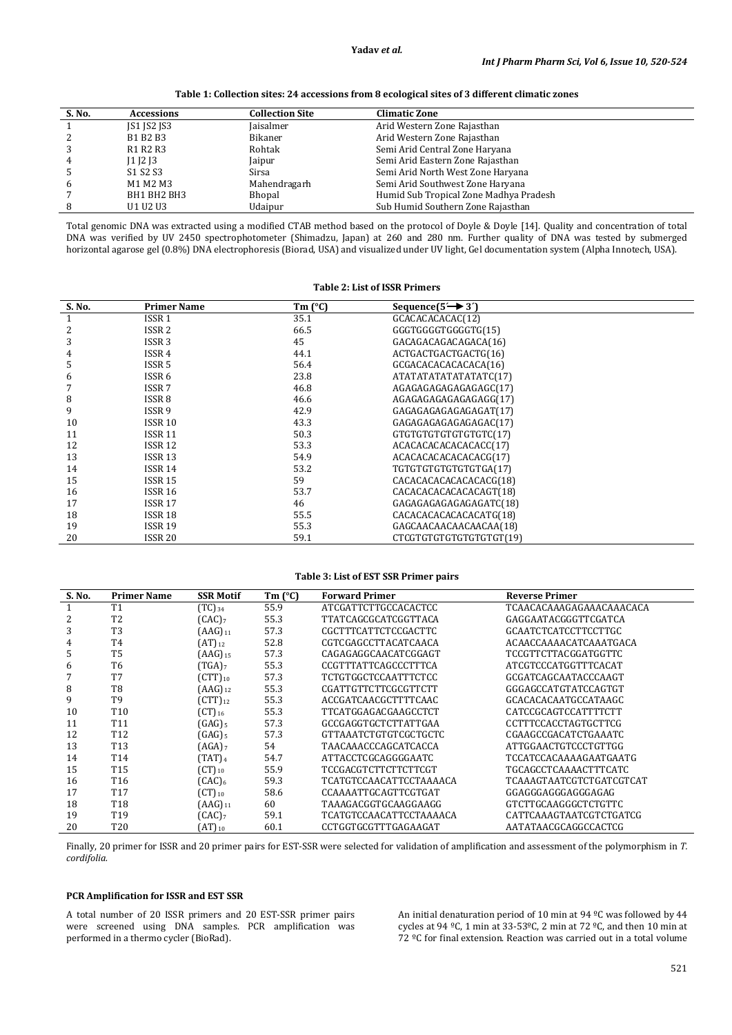**Table 1: Collection sites: 24 accessions from 8 ecological sites of 3 different climatic zones**

| S. No. | <b>Accessions</b>  | <b>Collection Site</b> | <b>Climatic Zone</b>                   |
|--------|--------------------|------------------------|----------------------------------------|
|        | <b>JS1 JS2 JS3</b> | Jaisalmer              | Arid Western Zone Rajasthan            |
| 2      | B1 B2 B3           | <b>Bikaner</b>         | Arid Western Zone Rajasthan            |
| 3      | R1 R2 R3           | Rohtak                 | Semi Arid Central Zone Haryana         |
| 4      | $11$ $12$ $13$     | Jaipur                 | Semi Arid Eastern Zone Rajasthan       |
| 5      | S1 S2 S3           | Sirsa                  | Semi Arid North West Zone Haryana      |
| 6      | M1 M2 M3           | Mahendragarh           | Semi Arid Southwest Zone Haryana       |
|        | BH1 BH2 BH3        | Bhopal                 | Humid Sub Tropical Zone Madhya Pradesh |
| 8      | U1 U2 U3           | Udaipur                | Sub Humid Southern Zone Rajasthan      |

Total genomic DNA was extracted using a modified CTAB method based on the protocol of Doyle & Doyle [14]. Quality and concentration of total DNA was verified by UV 2450 spectrophotometer (Shimadzu, Japan) at 260 and 280 nm. Further quality of DNA was tested by submerged horizontal agarose gel (0.8%) DNA electrophoresis (Biorad, USA) and visualized under UV light, Gel documentation system (Alpha Innotech, USA).

**Table 2: List of ISSR Primers**

| S. No. | <b>Primer Name</b> | Tm $(^{\circ}C)$ | Sequence $(5 \rightarrow 3)$ |  |
|--------|--------------------|------------------|------------------------------|--|
| 1      | ISSR <sub>1</sub>  | 35.1             | GCACACACACAC(12)             |  |
| 2      | ISSR <sub>2</sub>  | 66.5             | GGGTGGGGTGGGGTG(15)          |  |
| 3      | ISSR <sub>3</sub>  | 45               | GACAGACAGACAGACA(16)         |  |
| 4      | ISSR 4             | 44.1             | ACTGACTGACTGACTG(16)         |  |
| 5      | ISSR 5             | 56.4             | GCGACACACACACACA(16)         |  |
| 6      | ISSR 6             | 23.8             | ATATATATATATATATC(17)        |  |
| 7      | ISSR <sub>7</sub>  | 46.8             | AGAGAGAGAGAGAGAGC(17)        |  |
| 8      | ISSR <sub>8</sub>  | 46.6             | AGAGAGAGAGAGAGG(17)          |  |
| 9      | ISSR 9             | 42.9             | GAGAGAGAGAGAGAGAT(17)        |  |
| 10     | <b>ISSR 10</b>     | 43.3             | GAGAGAGAGAGAGAGAC(17)        |  |
| 11     | <b>ISSR 11</b>     | 50.3             | GTGTGTGTGTGTGTGTC(17)        |  |
| 12     | ISSR 12            | 53.3             | ACACACACACACACACC(17)        |  |
| 13     | ISSR <sub>13</sub> | 54.9             | ACACACACACACACACG(17)        |  |
| 14     | ISSR 14            | 53.2             | TGTGTGTGTGTGTGTGA(17)        |  |
| 15     | ISSR 15            | 59               | CACACACACACACACACG(18)       |  |
| 16     | ISSR 16            | 53.7             | CACACACACACACACAGT(18)       |  |
| 17     | ISSR <sub>17</sub> | 46               | GAGAGAGAGAGAGAGATC(18)       |  |
| 18     | ISSR <sub>18</sub> | 55.5             | CACACACACACACACATG(18)       |  |
| 19     | ISSR 19            | 55.3             | GAGCAACAACAACAACAA(18)       |  |
| 20     | ISSR 20            | 59.1             | CTCGTGTGTGTGTGTGTGT(19)      |  |

### **Table 3: List of EST SSR Primer pairs**

| S. No. | <b>Primer Name</b> | <b>SSR Motif</b>                         | $Tm$ ( $^{\circ}$ C) | <b>Forward Primer</b>   | <b>Reverse Primer</b>       |
|--------|--------------------|------------------------------------------|----------------------|-------------------------|-----------------------------|
| 1      | T <sub>1</sub>     | $(TC)_{34}$                              | 55.9                 | ATCGATTCTTGCCACACTCC    | TCAACACAAAGAGAAACAAACACA    |
| 2      | T <sub>2</sub>     | (CAC)                                    | 55.3                 | TTATCAGCGCATCGGTTACA    | GAGGAATACGGGTTCGATCA        |
| 3      | T3                 | $(AAG)_{11}$                             | 57.3                 | CGCTTTCATTCTCCGACTTC    | <b>GCAATCTCATCCTTCCTTGC</b> |
| 4      | T4                 | $(AT)_{12}$                              | 52.8                 | CGTCGAGCCTTACATCAACA    | ACAACCAAAACATCAAATGACA      |
| 5.     | T <sub>5</sub>     | $(AAG)_{15}$                             | 57.3                 | CAGAGAGGCAACATCGGAGT    | <b>TCCGTTCTTACGGATGGTTC</b> |
| 6      | T <sub>6</sub>     | $(TGA)$ <sub>7</sub>                     | 55.3                 | CCGTTTATTCAGCCCTTTCA    | ATCGTCCCATGGTTTCACAT        |
|        | T7                 | $\left( \text{CTT} \right)_{10}$         | 57.3                 | TCTGTGGCTCCAATTTCTCC    | GCGATCAGCAATACCCAAGT        |
| 8      | T <sub>8</sub>     | $(AAG)_{12}$                             | 55.3                 | CGATTGTTCTTCGCGTTCTT    | GGGAGCCATGTATCCAGTGT        |
| 9      | T9                 | $\left( \text{CTT}\right)$ <sub>12</sub> | 55.3                 | ACCGATCAACGCTTTTCAAC    | GCACACACAATGCCATAAGC        |
| 10     | T <sub>10</sub>    | $\left( \text{CT} \right)$ 16            | 55.3                 | TTCATGGAGACGAAGCCTCT    | CATCCGCAGTCCATTTTCTT        |
| 11     | T <sub>11</sub>    | $(GAG)_{5}$                              | 57.3                 | GCCGAGGTGCTCTTATTGAA    | <b>CCTTTCCACCTAGTGCTTCG</b> |
| 12     | T <sub>12</sub>    | $(GAG)_{5}$                              | 57.3                 | GTTAAATCTGTGTCGCTGCTC   | CGAAGCCGACATCTGAAATC        |
| 13     | T <sub>13</sub>    | (AGA) <sub>7</sub>                       | 54                   | TAACAAACCCAGCATCACCA    | ATTGGAACTGTCCCTGTTGG        |
| 14     | T <sub>14</sub>    | (TAT) <sub>4</sub>                       | 54.7                 | ATTACCTCGCAGGGGAATC     | TCCATCCACAAAAGAATGAATG      |
| 15     | T <sub>15</sub>    | $(CT)_{10}$                              | 55.9                 | TCCGACGTCTTCTTCTTCGT    | TGCAGCCTCAAAACTTTCATC       |
| 16     | T <sub>16</sub>    | $(CAC)_6$                                | 59.3                 | TCATGTCCAACATTCCTAAAACA | TCAAAGTAATCGTCTGATCGTCAT    |
| 17     | T <sub>17</sub>    | $\left( \text{CT} \right)$ <sub>10</sub> | 58.6                 | CCAAAATTGCAGTTCGTGAT    | GGAGGGAGGGAGGGAGAG          |
| 18     | T <sub>18</sub>    | $(AAG)_{11}$                             | 60                   | TAAAGACGGTGCAAGGAAGG    | GTCTTGCAAGGGCTCTGTTC        |
| 19     | T <sub>19</sub>    | $(CAC)_{7}$                              | 59.1                 | TCATGTCCAACATTCCTAAAACA | CATTCAAAGTAATCGTCTGATCG     |
| 20     | <b>T20</b>         | $(AT)_{10}$                              | 60.1                 | CCTGGTGCGTTTGAGAAGAT    | AATATAACGCAGGCCACTCG        |

Finally, 20 primer for ISSR and 20 primer pairs for EST-SSR were selected for validation of amplification and assessment of the polymorphism in *T. cordifolia.*

# **PCR Amplification for ISSR and EST SSR**

A total number of 20 ISSR primers and 20 EST-SSR primer pairs were screened using DNA samples. PCR amplification was performed in a thermo cycler (BioRad).

An initial denaturation period of 10 min at 94 ºC was followed by 44 cycles at 94 °C, 1 min at 33-53°C, 2 min at 72 °C, and then 10 min at 72 ºC for final extension. Reaction was carried out in a total volume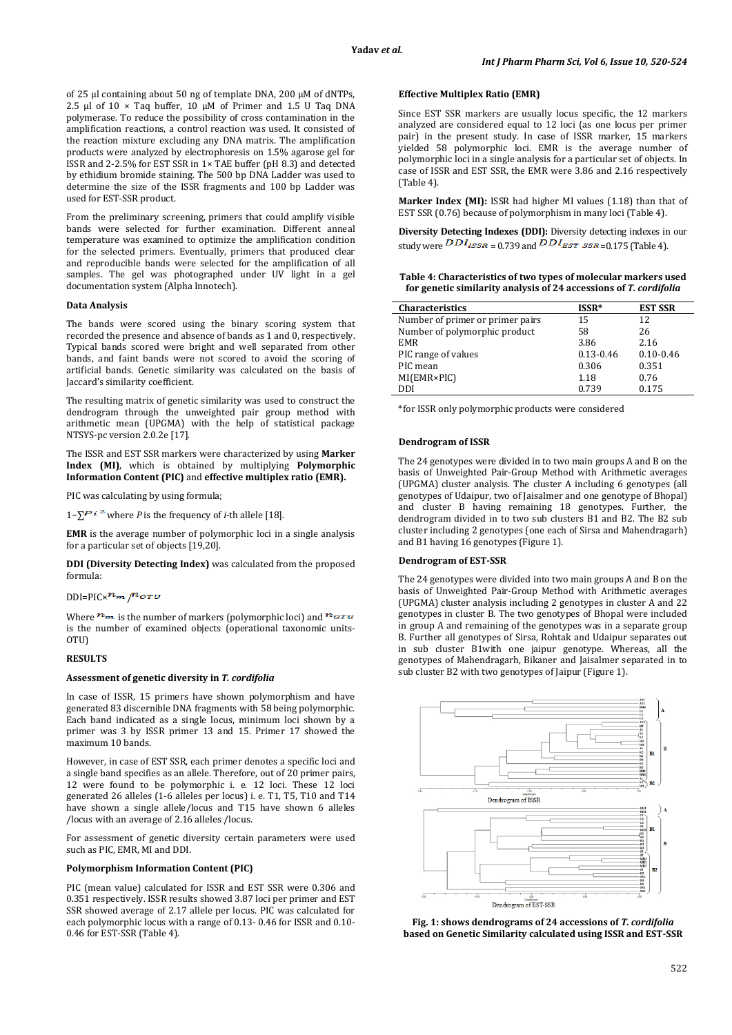of 25 μl containing about 50 ng of template DNA, 200 µM of dNTPs, 2.5 μl of 10 × Taq buffer, 10 µM of Primer and 1.5 U Taq DNA polymerase. To reduce the possibility of cross contamination in the amplification reactions, a control reaction was used. It consisted of the reaction mixture excluding any DNA matrix. The amplification products were analyzed by electrophoresis on 1.5% agarose gel for ISSR and 2-2.5% for EST SSR in 1× TAE buffer (pH 8.3) and detected by ethidium bromide staining. The 500 bp DNA Ladder was used to determine the size of the ISSR fragments and 100 bp Ladder was used for EST-SSR product.

From the preliminary screening, primers that could amplify visible bands were selected for further examination. Different anneal temperature was examined to optimize the amplification condition for the selected primers. Eventually, primers that produced clear and reproducible bands were selected for the amplification of all samples. The gel was photographed under UV light in a gel documentation system (Alpha Innotech).

#### **Data Analysis**

The bands were scored using the binary scoring system that recorded the presence and absence of bands as 1 and 0, respectively. Typical bands scored were bright and well separated from other bands, and faint bands were not scored to avoid the scoring of artificial bands. Genetic similarity was calculated on the basis of Jaccard's similarity coefficient.

The resulting matrix of genetic similarity was used to construct the dendrogram through the unweighted pair group method with arithmetic mean (UPGMA) with the help of statistical package NTSYS-pc version 2.0.2e [17].

The ISSR and EST SSR markers were characterized by using **Marker Index (MI)**, which is obtained by multiplying **Polymorphic Information Content (PIC)** and **effective multiplex ratio (EMR).**

PIC was calculating by using formula;

1−∑ where *P* is the frequency of *i*-th allele [18].

**EMR** is the average number of polymorphic loci in a single analysis for a particular set of objects [19,20].

**DDI (Diversity Detecting Index)** was calculated from the proposed formula:

### $DDI=PIC\times$  $\frac{m_{m}}{M}$

Where  $m_{\text{max}}$  is the number of markers (polymorphic loci) and  $m_{\text{error}}$ is the number of examined objects (operational taxonomic units-**OTU)** 

# **RESULTS**

### **Assessment of genetic diversity in** *T. cordifolia*

In case of ISSR, 15 primers have shown polymorphism and have generated 83 discernible DNA fragments with 58 being polymorphic. Each band indicated as a single locus, minimum loci shown by a primer was 3 by ISSR primer 13 and 15. Primer 17 showed the maximum 10 bands.

However, in case of EST SSR, each primer denotes a specific loci and a single band specifies as an allele. Therefore, out of 20 primer pairs, 12 were found to be polymorphic i. e. 12 loci. These 12 loci generated 26 alleles (1-6 alleles per locus) i. e. T1, T5, T10 and T14 have shown a single allele/locus and T15 have shown 6 alleles /locus with an average of 2.16 alleles /locus.

For assessment of genetic diversity certain parameters were used such as PIC, EMR, MI and DDI.

# **Polymorphism Information Content (PIC)**

PIC (mean value) calculated for ISSR and EST SSR were 0.306 and 0.351 respectively. ISSR results showed 3.87 loci per primer and EST SSR showed average of 2.17 allele per locus. PIC was calculated for each polymorphic locus with a range of 0.13- 0.46 for ISSR and 0.10- 0.46 for EST-SSR (Table 4).

# **Effective Multiplex Ratio (EMR)**

Since EST SSR markers are usually locus specific, the 12 markers analyzed are considered equal to 12 loci (as one locus per primer pair) in the present study. In case of ISSR marker, 15 markers yielded 58 polymorphic loci. EMR is the average number of polymorphic loci in a single analysis for a particular set of objects. In case of ISSR and EST SSR, the EMR were 3.86 and 2.16 respectively (Table 4).

**Marker Index (MI):** ISSR had higher MI values (1.18) than that of EST SSR (0.76) because of polymorphism in many loci (Table 4).

**Diversity Detecting Indexes (DDI):** Diversity detecting indexes in our study were  $\overline{DDI_{ISSR}} = 0.739$  and  $\overline{DDI_{EST}}$   $\overline{SSR} = 0.175$  (Table 4).

**Table 4: Characteristics of two types of molecular markers used for genetic similarity analysis of 24 accessions of** *T. cordifolia*

| <b>Characteristics</b>           | ISSR*         | <b>EST SSR</b> |
|----------------------------------|---------------|----------------|
| Number of primer or primer pairs | 15            | 12             |
| Number of polymorphic product    | 58            | 26             |
| <b>EMR</b>                       | 3.86          | 2.16           |
| PIC range of values              | $0.13 - 0.46$ | $0.10 - 0.46$  |
| PIC mean                         | 0.306         | 0.351          |
| MI(EMR×PIC)                      | 1.18          | 0.76           |
| DDI                              | 0.739         | 0.175          |

\*for ISSR only polymorphic products were considered

#### **Dendrogram of ISSR**

The 24 genotypes were divided in to two main groups A and B on the basis of Unweighted Pair-Group Method with Arithmetic averages (UPGMA) cluster analysis. The cluster A including 6 genotypes (all genotypes of Udaipur, two of Jaisalmer and one genotype of Bhopal) and cluster B having remaining 18 genotypes. Further, the dendrogram divided in to two sub clusters B1 and B2. The B2 sub cluster including 2 genotypes (one each of Sirsa and Mahendragarh) and B1 having 16 genotypes (Figure 1).

# **Dendrogram of EST-SSR**

The 24 genotypes were divided into two main groups A and B on the basis of Unweighted Pair-Group Method with Arithmetic averages (UPGMA) cluster analysis including 2 genotypes in cluster A and 22 genotypes in cluster B. The two genotypes of Bhopal were included in group A and remaining of the genotypes was in a separate group B. Further all genotypes of Sirsa, Rohtak and Udaipur separates out in sub cluster B1with one jaipur genotype. Whereas, all the genotypes of Mahendragarh, Bikaner and Jaisalmer separated in to sub cluster B2 with two genotypes of Jaipur (Figure 1).



**Fig. 1: shows dendrograms of 24 accessions of** *T. cordifolia* **based on Genetic Similarity calculated using ISSR and EST-SSR**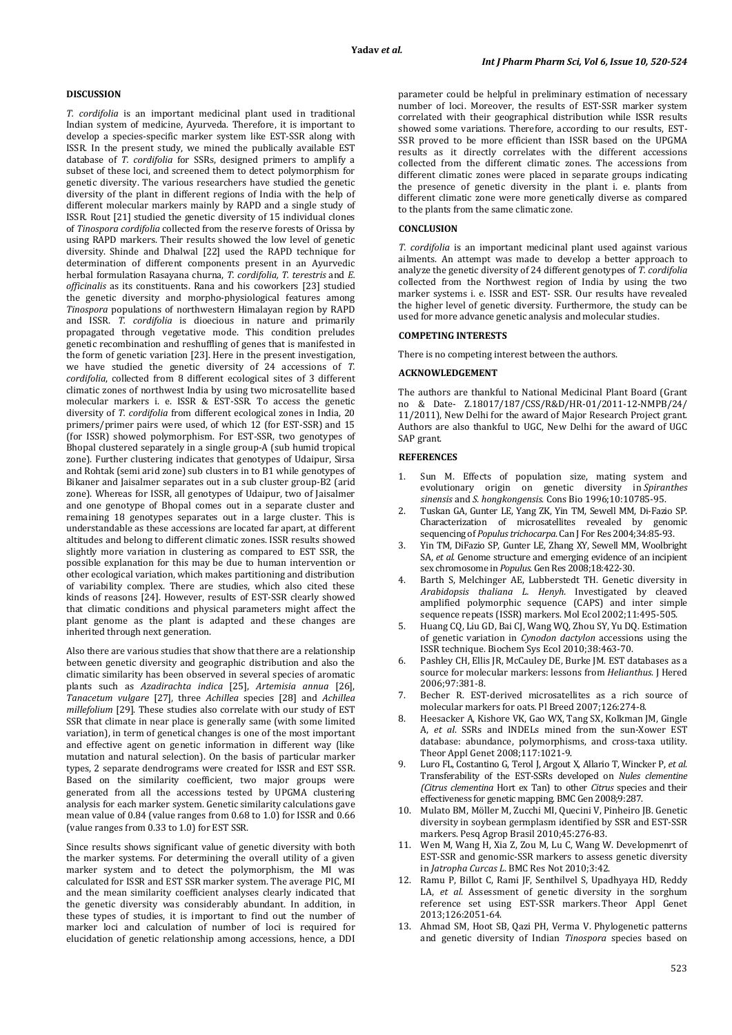*T. cordifolia* is an important medicinal plant used in traditional Indian system of medicine, Ayurveda. Therefore, it is important to develop a species-specific marker system like EST-SSR along with ISSR. In the present study, we mined the publically available EST database of *T. cordifolia* for SSRs, designed primers to amplify a subset of these loci, and screened them to detect polymorphism for genetic diversity. The various researchers have studied the genetic diversity of the plant in different regions of India with the help of different molecular markers mainly by RAPD and a single study of ISSR. Rout [21] studied the genetic diversity of 15 individual clones of *Tinospora cordifolia* collected from the reserve forests of Orissa by using RAPD markers. Their results showed the low level of genetic diversity. Shinde and Dhalwal [22] used the RAPD technique for determination of different components present in an Ayurvedic herbal formulation Rasayana churna, *T. cordifolia, T. terestris* and *E. officinalis* as its constituents. Rana and his coworkers [23] studied the genetic diversity and morpho-physiological features among *Tinospora* populations of northwestern Himalayan region by RAPD and ISSR. *T. cordifolia* is dioecious in nature and primarily propagated through vegetative mode. This condition preludes genetic recombination and reshuffling of genes that is manifested in the form of genetic variation [23]. Here in the present investigation, we have studied the genetic diversity of 24 accessions of *T. cordifolia*, collected from 8 different ecological sites of 3 different climatic zones of northwest India by using two microsatellite based molecular markers i. e. ISSR & EST-SSR. To access the genetic diversity of *T. cordifolia* from different ecological zones in India, 20 primers/primer pairs were used, of which 12 (for EST-SSR) and 15 (for ISSR) showed polymorphism. For EST-SSR, two genotypes of Bhopal clustered separately in a single group-A (sub humid tropical zone). Further clustering indicates that genotypes of Udaipur, Sirsa and Rohtak (semi arid zone) sub clusters in to B1 while genotypes of Bikaner and Jaisalmer separates out in a sub cluster group-B2 (arid zone). Whereas for ISSR, all genotypes of Udaipur, two of Jaisalmer and one genotype of Bhopal comes out in a separate cluster and remaining 18 genotypes separates out in a large cluster. This is understandable as these accessions are located far apart, at different altitudes and belong to different climatic zones. ISSR results showed slightly more variation in clustering as compared to EST SSR, the possible explanation for this may be due to human intervention or other ecological variation, which makes partitioning and distribution of variability complex. There are studies, which also cited these kinds of reasons [24]. However, results of EST-SSR clearly showed that climatic conditions and physical parameters might affect the plant genome as the plant is adapted and these changes are inherited through next generation.

Also there are various studies that show that there are a relationship between genetic diversity and geographic distribution and also the climatic similarity has been observed in several species of aromatic plants such as *Azadirachta indica* [25], *Artemisia annua* [26], *Tanacetum vulgare* [27], three *Achillea* species [28] and *Achillea millefolium* [29]. These studies also correlate with our study of EST SSR that climate in near place is generally same (with some limited variation), in term of genetical changes is one of the most important and effective agent on genetic information in different way (like mutation and natural selection). On the basis of particular marker types, 2 separate dendrograms were created for ISSR and EST SSR. Based on the similarity coefficient, two major groups were generated from all the accessions tested by UPGMA clustering analysis for each marker system. Genetic similarity calculations gave mean value of 0.84 (value ranges from 0.68 to 1.0) for ISSR and 0.66 (value ranges from 0.33 to 1.0) for EST SSR.

Since results shows significant value of genetic diversity with both the marker systems. For determining the overall utility of a given marker system and to detect the polymorphism, the MI was calculated for ISSR and EST SSR marker system. The average PIC, MI and the mean similarity coefficient analyses clearly indicated that the genetic diversity was considerably abundant. In addition, in these types of studies, it is important to find out the number of marker loci and calculation of number of loci is required for elucidation of genetic relationship among accessions, hence, a DDI

parameter could be helpful in preliminary estimation of necessary number of loci. Moreover, the results of EST-SSR marker system correlated with their geographical distribution while ISSR results showed some variations. Therefore, according to our results, EST-SSR proved to be more efficient than ISSR based on the UPGMA results as it directly correlates with the different accessions collected from the different climatic zones. The accessions from different climatic zones were placed in separate groups indicating the presence of genetic diversity in the plant i. e. plants from different climatic zone were more genetically diverse as compared to the plants from the same climatic zone.

### **CONCLUSION**

*T. cordifolia* is an important medicinal plant used against various ailments. An attempt was made to develop a better approach to analyze the genetic diversity of 24 different genotypes of *T. cordifolia* collected from the Northwest region of India by using the two marker systems i. e. ISSR and EST- SSR. Our results have revealed the higher level of genetic diversity. Furthermore, the study can be used for more advance genetic analysis and molecular studies.

# **COMPETING INTERESTS**

There is no competing interest between the authors.

# **ACKNOWLEDGEMENT**

The authors are thankful to National Medicinal Plant Board (Grant no & Date- Z.18017/187/CSS/R&D/HR-01/2011-12-NMPB/24/ 11/2011), New Delhi for the award of Major Research Project grant. Authors are also thankful to UGC, New Delhi for the award of UGC SAP grant.

#### **REFERENCES**

- Sun M. Effects of population size, mating system and evolutionary origin on genetic diversity in *Spiranthes sinensis* and *S. hongkongensis*. Cons Bio 1996;10:10785-95.
- 2. Tuskan GA, Gunter LE, Yang ZK, Yin TM, Sewell MM, Di-Fazio SP. Characterization of microsatellites revealed by genomic sequencing of *Populus trichocarpa*. Can J For Res 2004;34:85-93.
- 3. Yin TM, DiFazio SP, Gunter LE, Zhang XY, Sewell MM, Woolbright SA, *et al*. Genome structure and emerging evidence of an incipient sex chromosome in *Populus*. Gen Res 2008;18:422-30.
- 4. Barth S, Melchinger AE, Lubberstedt TH. Genetic diversity in *Arabidopsis thaliana L. Henyh.* Investigated by cleaved amplified polymorphic sequence (CAPS) and inter simple sequence repeats (ISSR) markers. Mol Ecol 2002;11:495-505.
- 5. Huang CQ, Liu GD, Bai CJ, Wang WQ, Zhou SY, Yu DQ. Estimation of genetic variation in *Cynodon dactylon* accessions using the ISSR technique. Biochem Sys Ecol 2010;38:463-70.
- 6. Pashley CH, Ellis JR, McCauley DE, Burke JM. EST databases as a source for molecular markers: lessons from *Helianthus*. J Hered 2006;97:381-8.
- 7. Becher R. EST-derived microsatellites as a rich source of molecular markers for oats*.* Pl Breed 2007;126:274-8.
- 8. Heesacker A, Kishore VK, Gao WX, Tang SX, Kolkman JM, Gingle A, *et al*. SSRs and INDELs mined from the sun-Xower EST database: abundance, polymorphisms, and cross-taxa utility. Theor Appl Genet 2008;117:1021-9.
- 9. Luro FL, Costantino G, Terol J, Argout X, Allario T, Wincker P, *et al*. Transferability of the EST-SSRs developed on *Nules clementine (Citrus clementina* Hort ex Tan) to other *Citrus* species and their effectiveness for genetic mapping. BMC Gen 2008;9:287.
- 10. Mulato BM, Möller M, Zucchi MI, Quecini V, Pinheiro JB. Genetic diversity in soybean germplasm identified by SSR and EST-SSR markers. Pesq Agrop Brasil 2010; 45:276-83.
- 11. Wen M, Wang H, Xia Z, Zou M, Lu C, Wang W. Developmenrt of EST-SSR and genomic-SSR markers to assess genetic diversity in *Jatropha Curcas L*. BMC Res Not 2010;3:42.
- 12. Ramu P, Billot C, Rami JF, Senthilvel S, Upadhyaya HD, Reddy LA, *et al*. Assessment of genetic diversity in the sorghum reference set using EST-SSR markers. Theor Appl Genet 2013;126:2051-64.
- 13. Ahmad SM, Hoot SB, Qazi PH, Verma V. Phylogenetic patterns and genetic diversity of Indian *Tinospora* species based on